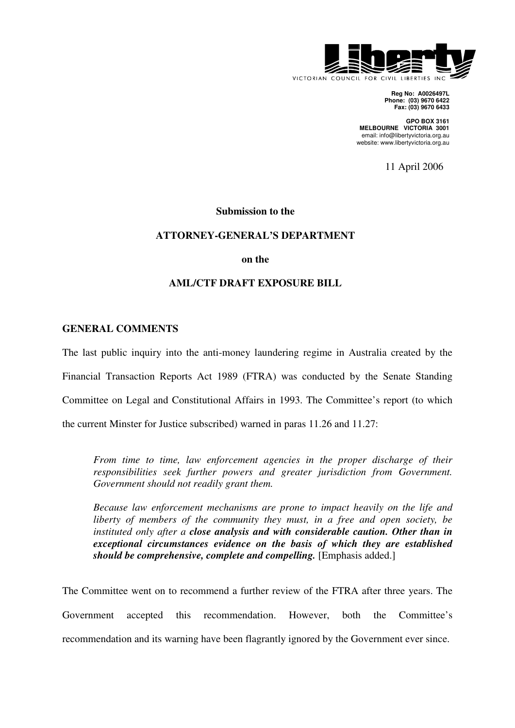

**Reg No: A0026497L Phone: (03) 9670 6422 Fax: (03) 9670 6433** 

**GPO BOX 3161 MELBOURNE VICTORIA 3001**  email: info@libertyvictoria.org.au website: www.libertyvictoria.org.au

11 April 2006

### **Submission to the**

### **ATTORNEY-GENERAL'S DEPARTMENT**

**on the** 

### **AML/CTF DRAFT EXPOSURE BILL**

### **GENERAL COMMENTS**

The last public inquiry into the anti-money laundering regime in Australia created by the

Financial Transaction Reports Act 1989 (FTRA) was conducted by the Senate Standing

Committee on Legal and Constitutional Affairs in 1993. The Committee's report (to which

the current Minster for Justice subscribed) warned in paras 11.26 and 11.27:

*From time to time, law enforcement agencies in the proper discharge of their responsibilities seek further powers and greater jurisdiction from Government. Government should not readily grant them.* 

*Because law enforcement mechanisms are prone to impact heavily on the life and liberty of members of the community they must, in a free and open society, be instituted only after a close analysis and with considerable caution. Other than in exceptional circumstances evidence on the basis of which they are established should be comprehensive, complete and compelling.* [Emphasis added.]

The Committee went on to recommend a further review of the FTRA after three years. The Government accepted this recommendation. However, both the Committee's recommendation and its warning have been flagrantly ignored by the Government ever since.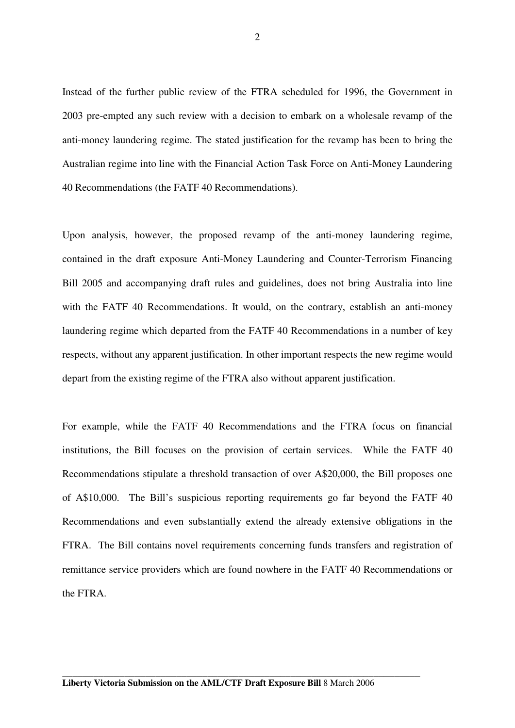Instead of the further public review of the FTRA scheduled for 1996, the Government in 2003 pre-empted any such review with a decision to embark on a wholesale revamp of the anti-money laundering regime. The stated justification for the revamp has been to bring the Australian regime into line with the Financial Action Task Force on Anti-Money Laundering 40 Recommendations (the FATF 40 Recommendations).

Upon analysis, however, the proposed revamp of the anti-money laundering regime, contained in the draft exposure Anti-Money Laundering and Counter-Terrorism Financing Bill 2005 and accompanying draft rules and guidelines, does not bring Australia into line with the FATF 40 Recommendations. It would, on the contrary, establish an anti-money laundering regime which departed from the FATF 40 Recommendations in a number of key respects, without any apparent justification. In other important respects the new regime would depart from the existing regime of the FTRA also without apparent justification.

For example, while the FATF 40 Recommendations and the FTRA focus on financial institutions, the Bill focuses on the provision of certain services. While the FATF 40 Recommendations stipulate a threshold transaction of over A\$20,000, the Bill proposes one of A\$10,000. The Bill's suspicious reporting requirements go far beyond the FATF 40 Recommendations and even substantially extend the already extensive obligations in the FTRA. The Bill contains novel requirements concerning funds transfers and registration of remittance service providers which are found nowhere in the FATF 40 Recommendations or the FTRA.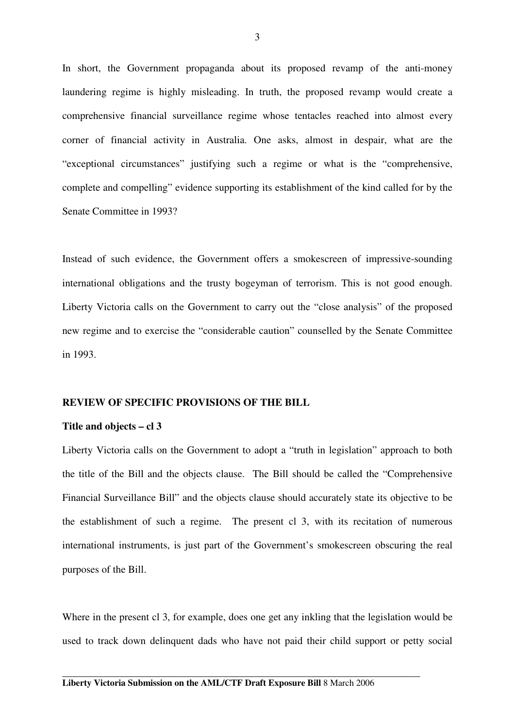In short, the Government propaganda about its proposed revamp of the anti-money laundering regime is highly misleading. In truth, the proposed revamp would create a comprehensive financial surveillance regime whose tentacles reached into almost every corner of financial activity in Australia. One asks, almost in despair, what are the "exceptional circumstances" justifying such a regime or what is the "comprehensive, complete and compelling" evidence supporting its establishment of the kind called for by the Senate Committee in 1993?

Instead of such evidence, the Government offers a smokescreen of impressive-sounding international obligations and the trusty bogeyman of terrorism. This is not good enough. Liberty Victoria calls on the Government to carry out the "close analysis" of the proposed new regime and to exercise the "considerable caution" counselled by the Senate Committee in 1993.

### **REVIEW OF SPECIFIC PROVISIONS OF THE BILL**

### **Title and objects – cl 3**

Liberty Victoria calls on the Government to adopt a "truth in legislation" approach to both the title of the Bill and the objects clause. The Bill should be called the "Comprehensive Financial Surveillance Bill" and the objects clause should accurately state its objective to be the establishment of such a regime. The present cl 3, with its recitation of numerous international instruments, is just part of the Government's smokescreen obscuring the real purposes of the Bill.

Where in the present cl 3, for example, does one get any inkling that the legislation would be used to track down delinquent dads who have not paid their child support or petty social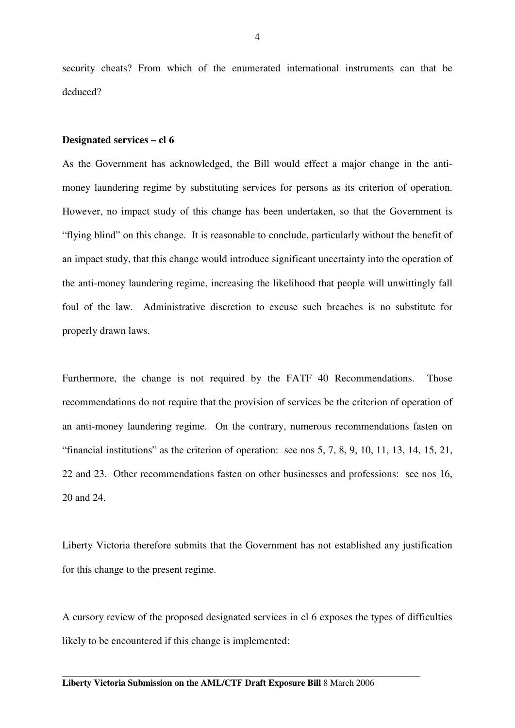security cheats? From which of the enumerated international instruments can that be deduced?

### **Designated services – cl 6**

As the Government has acknowledged, the Bill would effect a major change in the antimoney laundering regime by substituting services for persons as its criterion of operation. However, no impact study of this change has been undertaken, so that the Government is "flying blind" on this change. It is reasonable to conclude, particularly without the benefit of an impact study, that this change would introduce significant uncertainty into the operation of the anti-money laundering regime, increasing the likelihood that people will unwittingly fall foul of the law. Administrative discretion to excuse such breaches is no substitute for properly drawn laws.

Furthermore, the change is not required by the FATF 40 Recommendations. Those recommendations do not require that the provision of services be the criterion of operation of an anti-money laundering regime. On the contrary, numerous recommendations fasten on "financial institutions" as the criterion of operation: see nos 5, 7, 8, 9, 10, 11, 13, 14, 15, 21, 22 and 23. Other recommendations fasten on other businesses and professions: see nos 16, 20 and 24.

Liberty Victoria therefore submits that the Government has not established any justification for this change to the present regime.

A cursory review of the proposed designated services in cl 6 exposes the types of difficulties likely to be encountered if this change is implemented: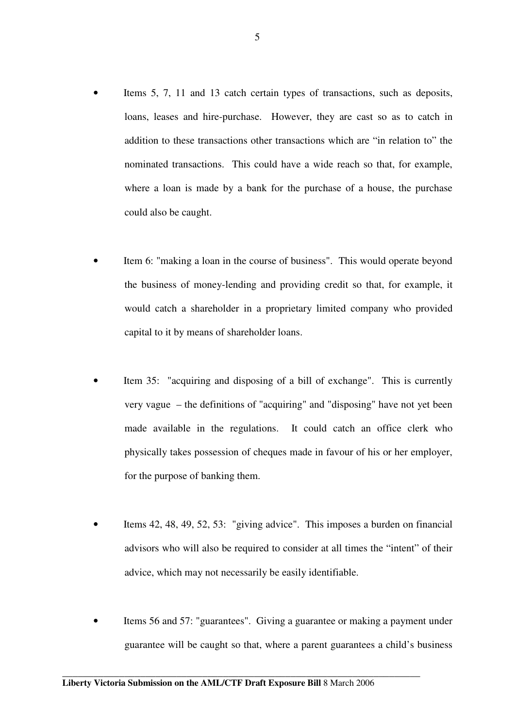- Items 5, 7, 11 and 13 catch certain types of transactions, such as deposits, loans, leases and hire-purchase. However, they are cast so as to catch in addition to these transactions other transactions which are "in relation to" the nominated transactions. This could have a wide reach so that, for example, where a loan is made by a bank for the purchase of a house, the purchase could also be caught.
- Item 6: "making a loan in the course of business". This would operate beyond the business of money-lending and providing credit so that, for example, it would catch a shareholder in a proprietary limited company who provided capital to it by means of shareholder loans.
- Item 35: "acquiring and disposing of a bill of exchange". This is currently very vague – the definitions of "acquiring" and "disposing" have not yet been made available in the regulations. It could catch an office clerk who physically takes possession of cheques made in favour of his or her employer, for the purpose of banking them.
- Items 42, 48, 49, 52, 53: "giving advice". This imposes a burden on financial advisors who will also be required to consider at all times the "intent" of their advice, which may not necessarily be easily identifiable.
- Items 56 and 57: "guarantees". Giving a guarantee or making a payment under guarantee will be caught so that, where a parent guarantees a child's business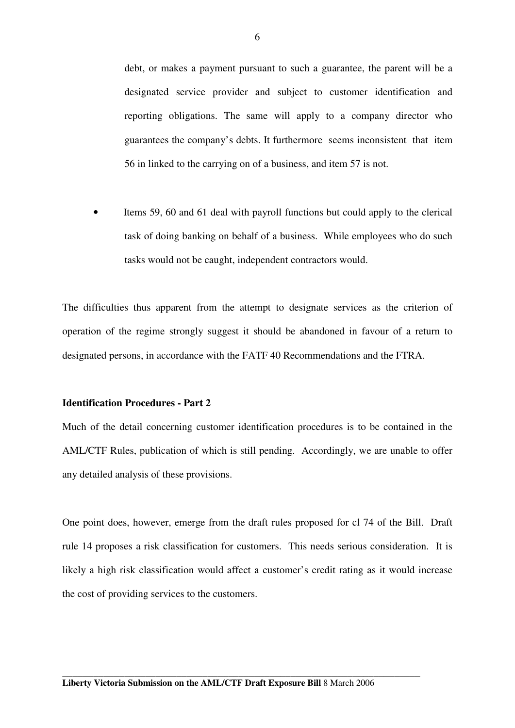debt, or makes a payment pursuant to such a guarantee, the parent will be a designated service provider and subject to customer identification and reporting obligations. The same will apply to a company director who guarantees the company's debts. It furthermore seems inconsistent that item 56 in linked to the carrying on of a business, and item 57 is not.

• Items 59, 60 and 61 deal with payroll functions but could apply to the clerical task of doing banking on behalf of a business. While employees who do such tasks would not be caught, independent contractors would.

The difficulties thus apparent from the attempt to designate services as the criterion of operation of the regime strongly suggest it should be abandoned in favour of a return to designated persons, in accordance with the FATF 40 Recommendations and the FTRA.

### **Identification Procedures - Part 2**

Much of the detail concerning customer identification procedures is to be contained in the AML/CTF Rules, publication of which is still pending. Accordingly, we are unable to offer any detailed analysis of these provisions.

One point does, however, emerge from the draft rules proposed for cl 74 of the Bill. Draft rule 14 proposes a risk classification for customers. This needs serious consideration. It is likely a high risk classification would affect a customer's credit rating as it would increase the cost of providing services to the customers.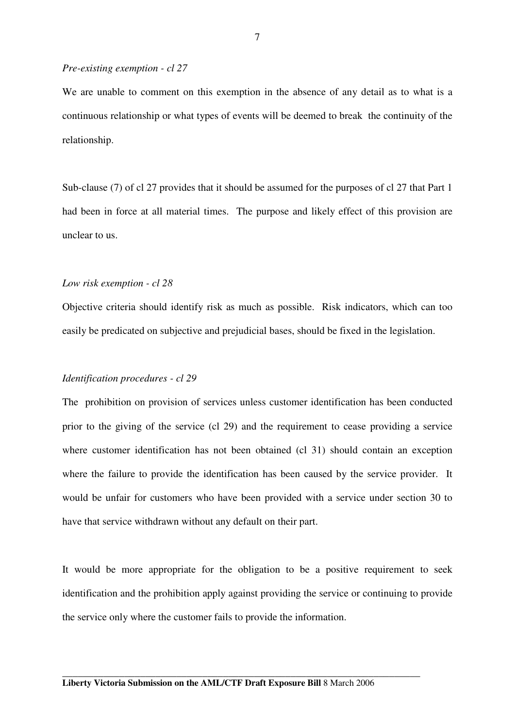#### *Pre-existing exemption - cl 27*

We are unable to comment on this exemption in the absence of any detail as to what is a continuous relationship or what types of events will be deemed to break the continuity of the relationship.

Sub-clause (7) of cl 27 provides that it should be assumed for the purposes of cl 27 that Part 1 had been in force at all material times. The purpose and likely effect of this provision are unclear to us.

#### *Low risk exemption - cl 28*

Objective criteria should identify risk as much as possible. Risk indicators, which can too easily be predicated on subjective and prejudicial bases, should be fixed in the legislation.

### *Identification procedures - cl 29*

The prohibition on provision of services unless customer identification has been conducted prior to the giving of the service (cl 29) and the requirement to cease providing a service where customer identification has not been obtained (cl 31) should contain an exception where the failure to provide the identification has been caused by the service provider. It would be unfair for customers who have been provided with a service under section 30 to have that service withdrawn without any default on their part.

It would be more appropriate for the obligation to be a positive requirement to seek identification and the prohibition apply against providing the service or continuing to provide the service only where the customer fails to provide the information.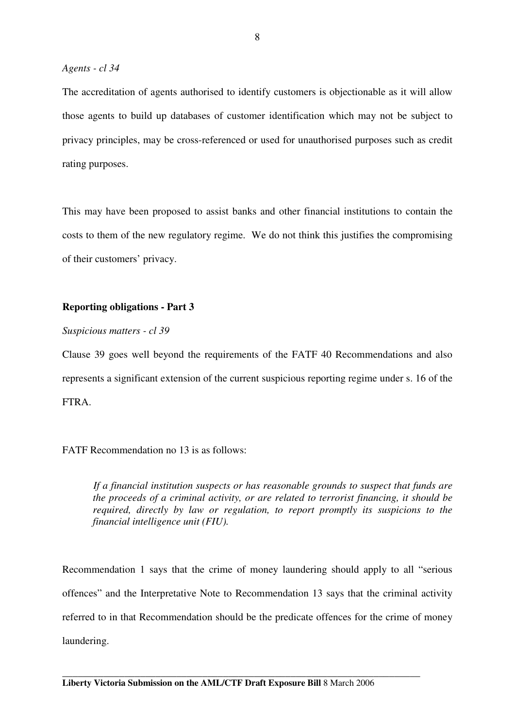The accreditation of agents authorised to identify customers is objectionable as it will allow those agents to build up databases of customer identification which may not be subject to privacy principles, may be cross-referenced or used for unauthorised purposes such as credit rating purposes.

This may have been proposed to assist banks and other financial institutions to contain the costs to them of the new regulatory regime. We do not think this justifies the compromising of their customers' privacy.

# **Reporting obligations - Part 3**

*Suspicious matters - cl 39* 

Clause 39 goes well beyond the requirements of the FATF 40 Recommendations and also represents a significant extension of the current suspicious reporting regime under s. 16 of the FTRA.

## FATF Recommendation no 13 is as follows:

*If a financial institution suspects or has reasonable grounds to suspect that funds are the proceeds of a criminal activity, or are related to terrorist financing, it should be required, directly by law or regulation, to report promptly its suspicions to the financial intelligence unit (FIU).* 

Recommendation 1 says that the crime of money laundering should apply to all "serious offences" and the Interpretative Note to Recommendation 13 says that the criminal activity referred to in that Recommendation should be the predicate offences for the crime of money laundering.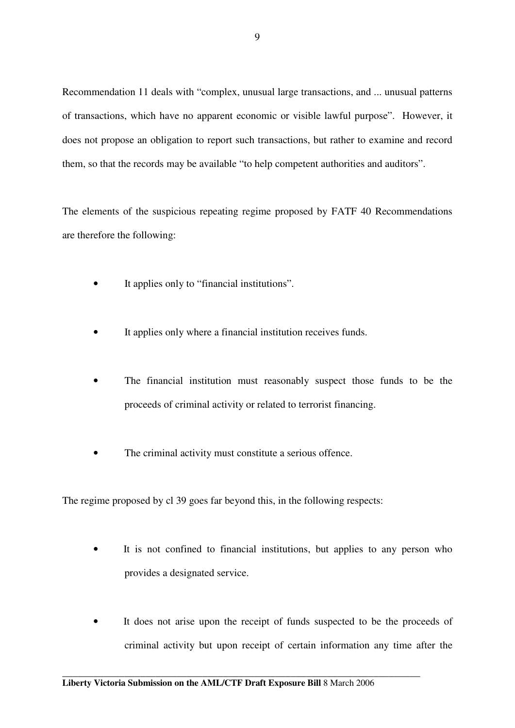Recommendation 11 deals with "complex, unusual large transactions, and ... unusual patterns of transactions, which have no apparent economic or visible lawful purpose". However, it does not propose an obligation to report such transactions, but rather to examine and record them, so that the records may be available "to help competent authorities and auditors".

The elements of the suspicious repeating regime proposed by FATF 40 Recommendations are therefore the following:

- It applies only to "financial institutions".
- It applies only where a financial institution receives funds.
- The financial institution must reasonably suspect those funds to be the proceeds of criminal activity or related to terrorist financing.
- The criminal activity must constitute a serious offence.

The regime proposed by cl 39 goes far beyond this, in the following respects:

- It is not confined to financial institutions, but applies to any person who provides a designated service.
- It does not arise upon the receipt of funds suspected to be the proceeds of criminal activity but upon receipt of certain information any time after the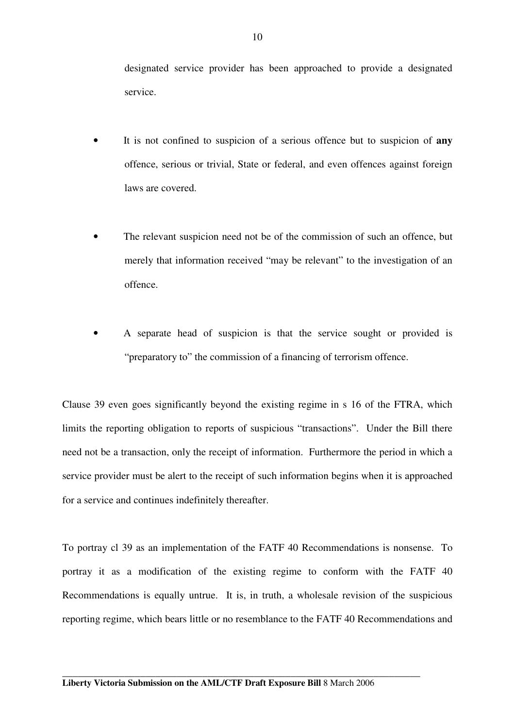designated service provider has been approached to provide a designated service.

- It is not confined to suspicion of a serious offence but to suspicion of **any** offence, serious or trivial, State or federal, and even offences against foreign laws are covered.
- The relevant suspicion need not be of the commission of such an offence, but merely that information received "may be relevant" to the investigation of an offence.
- A separate head of suspicion is that the service sought or provided is "preparatory to" the commission of a financing of terrorism offence.

Clause 39 even goes significantly beyond the existing regime in s 16 of the FTRA, which limits the reporting obligation to reports of suspicious "transactions". Under the Bill there need not be a transaction, only the receipt of information. Furthermore the period in which a service provider must be alert to the receipt of such information begins when it is approached for a service and continues indefinitely thereafter.

To portray cl 39 as an implementation of the FATF 40 Recommendations is nonsense. To portray it as a modification of the existing regime to conform with the FATF 40 Recommendations is equally untrue. It is, in truth, a wholesale revision of the suspicious reporting regime, which bears little or no resemblance to the FATF 40 Recommendations and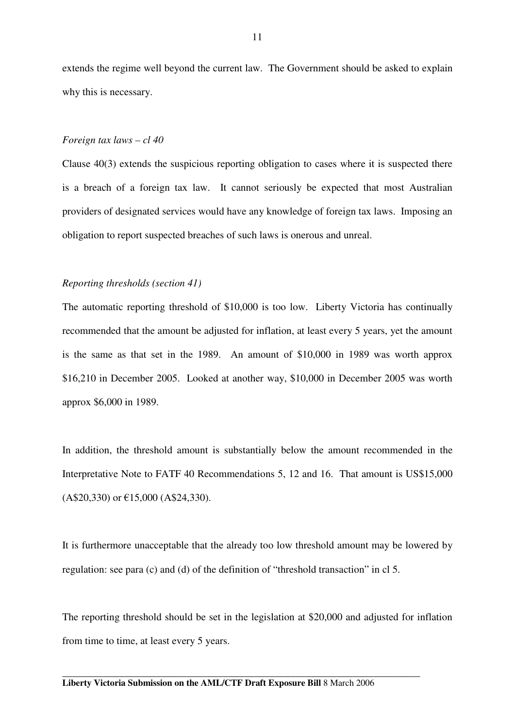extends the regime well beyond the current law. The Government should be asked to explain why this is necessary.

### *Foreign tax laws – cl 40*

Clause 40(3) extends the suspicious reporting obligation to cases where it is suspected there is a breach of a foreign tax law. It cannot seriously be expected that most Australian providers of designated services would have any knowledge of foreign tax laws. Imposing an obligation to report suspected breaches of such laws is onerous and unreal.

### *Reporting thresholds (section 41)*

The automatic reporting threshold of \$10,000 is too low. Liberty Victoria has continually recommended that the amount be adjusted for inflation, at least every 5 years, yet the amount is the same as that set in the 1989. An amount of \$10,000 in 1989 was worth approx \$16,210 in December 2005. Looked at another way, \$10,000 in December 2005 was worth approx \$6,000 in 1989.

In addition, the threshold amount is substantially below the amount recommended in the Interpretative Note to FATF 40 Recommendations 5, 12 and 16. That amount is US\$15,000 (A\$20,330) or €15,000 (A\$24,330).

It is furthermore unacceptable that the already too low threshold amount may be lowered by regulation: see para (c) and (d) of the definition of "threshold transaction" in cl 5.

The reporting threshold should be set in the legislation at \$20,000 and adjusted for inflation from time to time, at least every 5 years.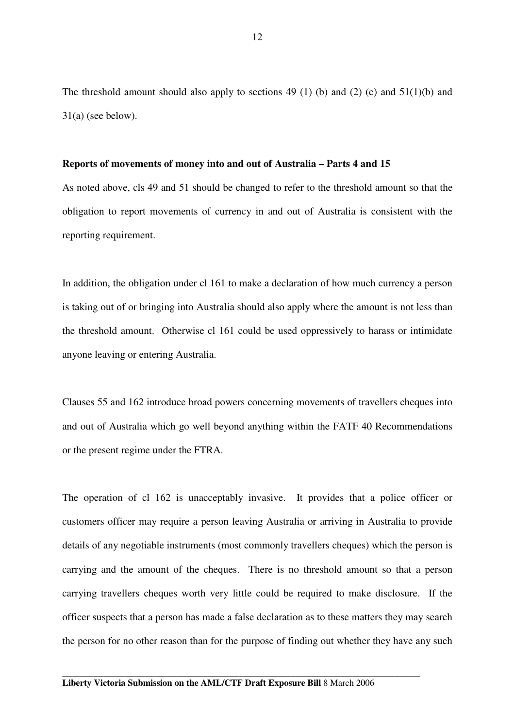The threshold amount should also apply to sections 49 (1) (b) and (2) (c) and  $51(1)(b)$  and 31(a) (see below).

### **Reports of movements of money into and out of Australia – Parts 4 and 15**

As noted above, cls 49 and 51 should be changed to refer to the threshold amount so that the obligation to report movements of currency in and out of Australia is consistent with the reporting requirement.

In addition, the obligation under cl 161 to make a declaration of how much currency a person is taking out of or bringing into Australia should also apply where the amount is not less than the threshold amount. Otherwise cl 161 could be used oppressively to harass or intimidate anyone leaving or entering Australia.

Clauses 55 and 162 introduce broad powers concerning movements of travellers cheques into and out of Australia which go well beyond anything within the FATF 40 Recommendations or the present regime under the FTRA.

The operation of cl 162 is unacceptably invasive. It provides that a police officer or customers officer may require a person leaving Australia or arriving in Australia to provide details of any negotiable instruments (most commonly travellers cheques) which the person is carrying and the amount of the cheques. There is no threshold amount so that a person carrying travellers cheques worth very little could be required to make disclosure. If the officer suspects that a person has made a false declaration as to these matters they may search the person for no other reason than for the purpose of finding out whether they have any such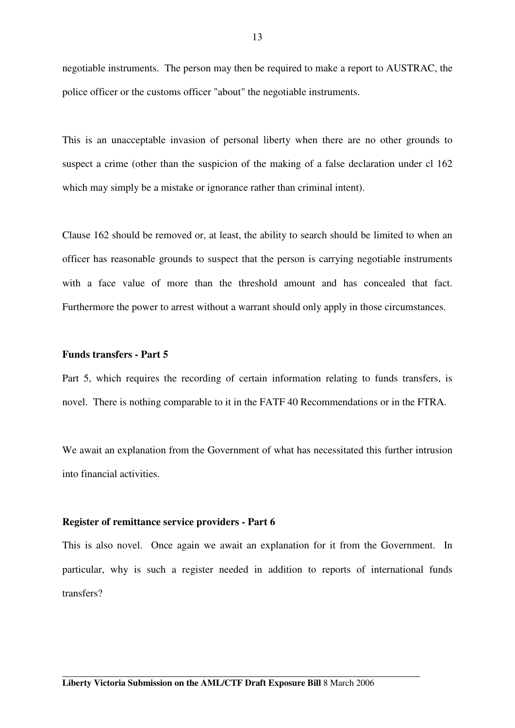negotiable instruments. The person may then be required to make a report to AUSTRAC, the police officer or the customs officer "about" the negotiable instruments.

This is an unacceptable invasion of personal liberty when there are no other grounds to suspect a crime (other than the suspicion of the making of a false declaration under cl 162 which may simply be a mistake or ignorance rather than criminal intent).

Clause 162 should be removed or, at least, the ability to search should be limited to when an officer has reasonable grounds to suspect that the person is carrying negotiable instruments with a face value of more than the threshold amount and has concealed that fact. Furthermore the power to arrest without a warrant should only apply in those circumstances.

## **Funds transfers - Part 5**

Part 5, which requires the recording of certain information relating to funds transfers, is novel. There is nothing comparable to it in the FATF 40 Recommendations or in the FTRA.

We await an explanation from the Government of what has necessitated this further intrusion into financial activities.

### **Register of remittance service providers - Part 6**

This is also novel. Once again we await an explanation for it from the Government. In particular, why is such a register needed in addition to reports of international funds transfers?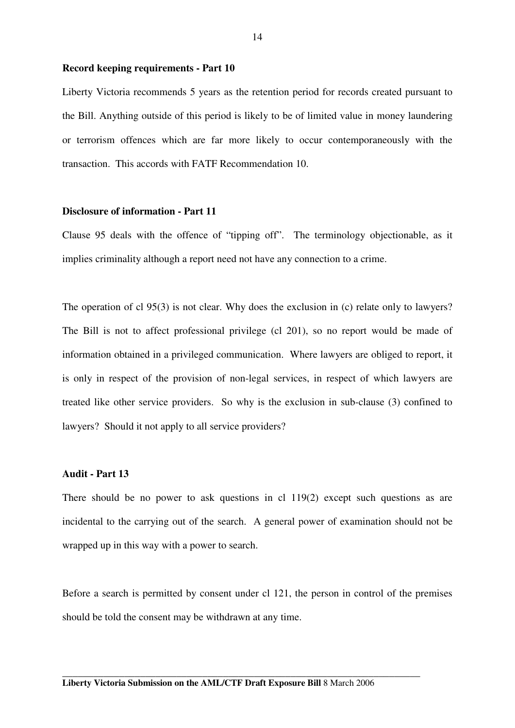#### **Record keeping requirements - Part 10**

Liberty Victoria recommends 5 years as the retention period for records created pursuant to the Bill. Anything outside of this period is likely to be of limited value in money laundering or terrorism offences which are far more likely to occur contemporaneously with the transaction. This accords with FATF Recommendation 10.

### **Disclosure of information - Part 11**

Clause 95 deals with the offence of "tipping off". The terminology objectionable, as it implies criminality although a report need not have any connection to a crime.

The operation of cl 95(3) is not clear. Why does the exclusion in (c) relate only to lawyers? The Bill is not to affect professional privilege (cl 201), so no report would be made of information obtained in a privileged communication. Where lawyers are obliged to report, it is only in respect of the provision of non-legal services, in respect of which lawyers are treated like other service providers. So why is the exclusion in sub-clause (3) confined to lawyers? Should it not apply to all service providers?

### **Audit - Part 13**

There should be no power to ask questions in cl 119(2) except such questions as are incidental to the carrying out of the search. A general power of examination should not be wrapped up in this way with a power to search.

Before a search is permitted by consent under cl 121, the person in control of the premises should be told the consent may be withdrawn at any time.